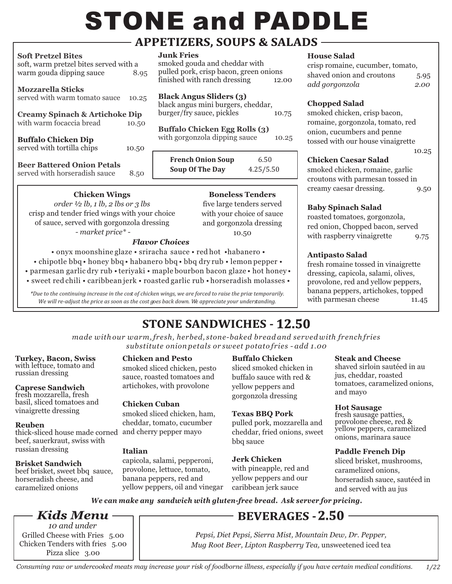# **STONE and PADDLE**

# - APPETIZERS, SOUPS & SALADS –

#### **Soft Pretzel Bites**

| $\mathbf{v}$ . The contract $\mathbf{v}$<br>soft, warm pretzel bites served with a |       |
|------------------------------------------------------------------------------------|-------|
| warm gouda dipping sauce                                                           | 8.95  |
| <b>Mozzarella Sticks</b><br>served with warm tomato sauce                          | 10.25 |
| <b>Creamy Spinach &amp; Artichoke Dip</b><br>with warm focaccia bread              | 10.50 |
| <b>Buffalo Chicken Dip</b><br>served with tortilla chips                           | 10.50 |
| <b>Beer Battered Onion Petals</b><br>served with horseradish sauce                 | 8.50  |

**Chicken Wings** *order ½ lb, 1 lb, 2 lbs or 3 lbs* crisp and tender fried wings with your choice of sauce, served with gorgonzola dressing *- market price\* -* 

**Junk Fries**

smoked gouda and cheddar with pulled pork, crisp bacon, green onions finished with ranch dressing 12.00

## **Black Angus Sliders (3)**

black angus mini burgers, cheddar, burger/fry sauce, pickles 10.75

**Buffalo Chicken Egg Rolls (3)** with gorgonzola dipping sauce 10.25

| <b>French Onion Soup</b> | 6.50      |
|--------------------------|-----------|
| <b>Soup Of The Day</b>   | 4.25/5.50 |

# **Boneless Tenders**

five large tenders served with your choice of sauce and gorgonzola dressing 10.50

• onyx moonshine glaze • sriracha sauce • red hot •habanero • • chipotle bbq • honey bbq • habanero bbq • bbq dry rub • lemon pepper • • parmesan garlic dry rub • teriyaki • maple bourbon bacon glaze • hot honey • *Flavor Choices*

• sweet red chili • caribbean jerk • roasted garlic rub • horseradish molasses •

*\*Due to the continuing increase in the cost of chicken wings, we are forced to raise the price temporarily. We will re-adjust the price as soon as the cost goes back down. We appreciate your understanding.* 

# **House Salad**

crisp romaine, cucumber, tomato, shaved onion and croutons 5.95 *add gorgonzola 2.00*

# **Chopped Salad**

smoked chicken, crisp bacon, romaine, gorgonzola, tomato, red onion, cucumbers and penne tossed with our house vinaigrette 10.25

# **Chicken Caesar Salad**

smoked chicken, romaine, garlic croutons with parmesan tossed in creamy caesar dressing. 9.50

# **Baby Spinach Salad**

roasted tomatoes, gorgonzola, red onion, Chopped bacon, served with raspberry vinaigrette 9.75

# **Antipasto Salad**

fresh romaine tossed in vinaigrette dressing, capicola, salami, olives, provolone, red and yellow peppers, banana peppers, artichokes, topped with parmesan cheese 11.45

# **12.50** STONE SANDWICHES - **12.50**

*made with our warm, fresh, herbed, stone-baked bread and served with french fries substitute onion petals or sweet potato fries - add 1.00*

#### **Turkey, Bacon, Swiss** with lettuce, tomato and russian dressing

**Caprese Sandwich** fresh mozzarella, fresh

basil, sliced tomatoes and vinaigrette dressing

# **Reuben**

thick-sliced house made corned  $\,$  and cherry pepper mayo beef, sauerkraut, swiss with russian dressing

# **Brisket Sandwich**

beef brisket, sweet bbq sauce, horseradish cheese, and caramelized onions

## **Chicken and Pesto**

smoked sliced chicken, pesto sauce, roasted tomatoes and artichokes, with provolone

# **Chicken Cuban**

smoked sliced chicken, ham, cheddar, tomato, cucumber

## **Italian**

capicola, salami, pepperoni, provolone, lettuce, tomato, banana peppers, red and yellow peppers, oil and vinegar

#### **Buffalo Chicken**

sliced smoked chicken in buffalo sauce with red & yellow peppers and gorgonzola dressing

## **Texas BBQ Pork**

pulled pork, mozzarella and cheddar, fried onions, sweet bbq sauce

#### **Jerk Chicken**

with pineapple, red and yellow peppers and our caribbean jerk sauce

## **Steak and Cheese**

shaved sirloin sautéed in au jus, cheddar, roasted tomatoes, caramelized onions, and mayo

## **Hot Sausage**

fresh sausage patties, provolone cheese, red & yellow peppers, caramelized onions, marinara sauce

## **Paddle French Dip**

sliced brisket, mushrooms, caramelized onions, horseradish sauce, sautéed in and served with au jus

*We can make any sandwich with gluten-free bread. Ask server for pricing.*

# Kids Menu -

Grilled Cheese with Fries 5.00 Chicken Tenders with fries 5.00 Pizza slice 3.00 *10 and under*

*Pepsi, Diet Pepsi, Sierra Mist, Mountain Dew, Dr. Pepper,* 

**BEVERAGES - 2.50 -**

*Mug Root Beer, Lipton Raspberry Tea,* unsweetened iced tea